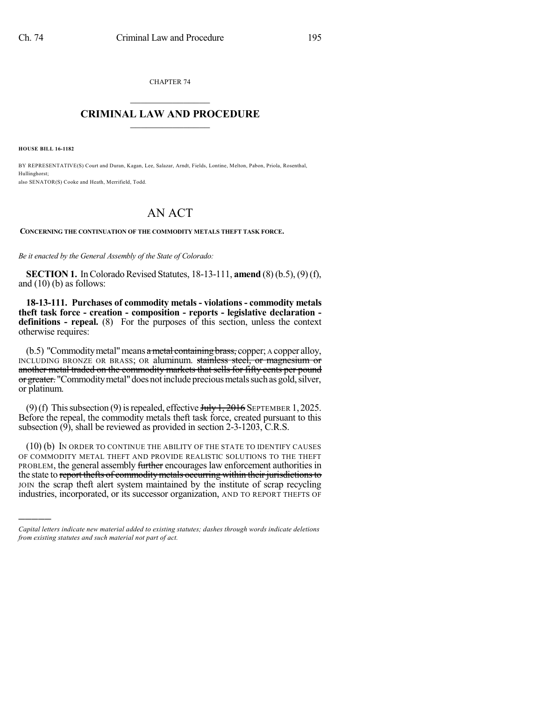CHAPTER 74  $\mathcal{L}_\text{max}$  . The set of the set of the set of the set of the set of the set of the set of the set of the set of the set of the set of the set of the set of the set of the set of the set of the set of the set of the set

## **CRIMINAL LAW AND PROCEDURE**  $\frac{1}{2}$  ,  $\frac{1}{2}$  ,  $\frac{1}{2}$  ,  $\frac{1}{2}$  ,  $\frac{1}{2}$  ,  $\frac{1}{2}$  ,  $\frac{1}{2}$

**HOUSE BILL 16-1182**

)))))

BY REPRESENTATIVE(S) Court and Duran, Kagan, Lee, Salazar, Arndt, Fields, Lontine, Melton, Pabon, Priola, Rosenthal, Hullinghorst; also SENATOR(S) Cooke and Heath, Merrifield, Todd.

## AN ACT

**CONCERNING THE CONTINUATION OF THE COMMODITY METALS THEFT TASK FORCE.**

*Be it enacted by the General Assembly of the State of Colorado:*

**SECTION 1.** In Colorado Revised Statutes, 18-13-111, **amend** (8) (b.5), (9) (f), and  $(10)$  (b) as follows:

**18-13-111. Purchases of commodity metals - violations - commodity metals theft task force - creation - composition - reports - legislative declaration definitions - repeal.** (8) For the purposes of this section, unless the context otherwise requires:

 $(b.5)$  "Commodity metal" means a metal containing brass, copper; A copper alloy, INCLUDING BRONZE OR BRASS; OR aluminum. stainless steel, or magnesium or another metal traded on the commodity markets that sells for fifty cents per pound or greater. "Commodity metal" does not include precious metals such as gold, silver, or platinum.

(9)(f) This subsection (9) is repealed, effective  $\frac{\text{H}_y}{1,2016}$  SEPTEMBER 1, 2025. Before the repeal, the commodity metals theft task force, created pursuant to this subsection (9), shall be reviewed as provided in section 2-3-1203, C.R.S.

(10) (b) IN ORDER TO CONTINUE THE ABILITY OF THE STATE TO IDENTIFY CAUSES OF COMMODITY METAL THEFT AND PROVIDE REALISTIC SOLUTIONS TO THE THEFT PROBLEM, the general assembly further encourages law enforcement authorities in the state to report thefts of commodity metals occurring within their jurisdictions to JOIN the scrap theft alert system maintained by the institute of scrap recycling industries, incorporated, or its successor organization, AND TO REPORT THEFTS OF

*Capital letters indicate new material added to existing statutes; dashes through words indicate deletions from existing statutes and such material not part of act.*